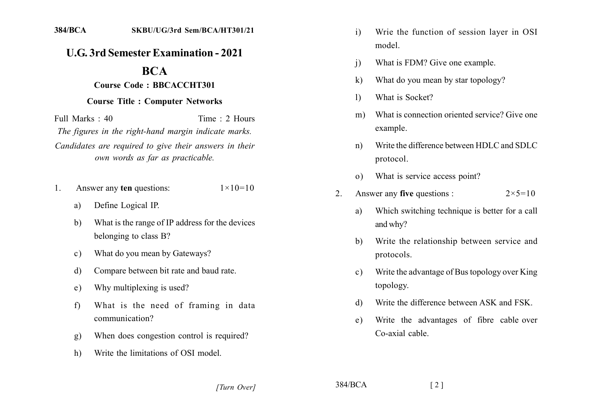## **U.G. 3rd Semester Examination - 2021**

## **BCA**

## **Course Code: BBCACCHT301**

## **Course Title : Computer Networks**

Full Marks: 40 Time: 2 Hours The figures in the right-hand margin indicate marks. Candidates are required to give their answers in their own words as far as practicable.

- Answer any ten questions:  $1 \times 10 = 10$  $\mathbf{1}$ 
	- Define Logical IP. a)
	- $b)$ What is the range of IP address for the devices belonging to class B?
	- What do you mean by Gateways?  $c)$
	- Compare between bit rate and baud rate.  $d)$
	- Why multiplexing is used?  $e)$
	- $f$ What is the need of framing in data communication?
	- When does congestion control is required? g)
	- Write the limitations of OSI model.  $h)$
- Wrie the function of session layer in OSI  $i)$ model
- What is FDM? Give one example.  $\mathbf{i}$
- What do you mean by star topology?  $\bf k$
- What is Socket?  $\Gamma$
- What is connection oriented service? Give one  $m$ ) example.
- Write the difference between HDLC and SDLC  $n)$ protocol.
- What is service access point?  $\Omega$
- Answer any **five** questions :  $2 \times 5 = 10$  $\mathbf{2}$ 
	- Which switching technique is better for a call a) and why?
	- Write the relationship between service and b) protocols.
	- Write the advantage of Bus topology over King  $c)$ topology.
	- Write the difference between ASK and FSK. d)
	- Write the advantages of fibre cable over  $e)$ Co-axial cable

 $384/BCA$